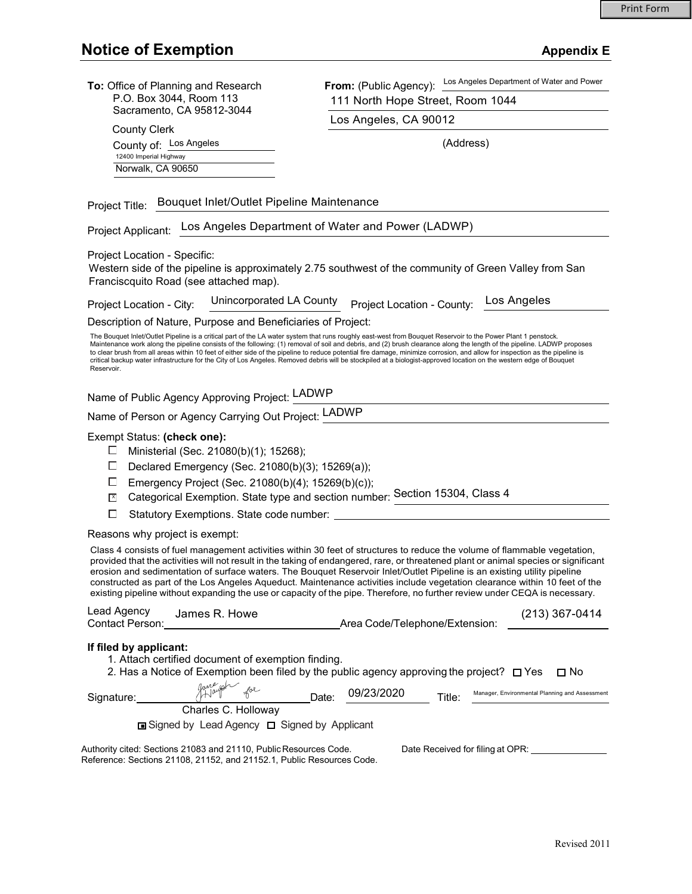| To: Office of Planning and Research<br>P.O. Box 3044, Room 113<br>Sacramento, CA 95812-3044                                                                                                                                                                                                                                                                                                                                                                                                                                                                                                                                                                                                                   | From: (Public Agency): Los Angeles Department of Water and Power<br>111 North Hope Street, Room 1044   |
|---------------------------------------------------------------------------------------------------------------------------------------------------------------------------------------------------------------------------------------------------------------------------------------------------------------------------------------------------------------------------------------------------------------------------------------------------------------------------------------------------------------------------------------------------------------------------------------------------------------------------------------------------------------------------------------------------------------|--------------------------------------------------------------------------------------------------------|
|                                                                                                                                                                                                                                                                                                                                                                                                                                                                                                                                                                                                                                                                                                               | Los Angeles, CA 90012                                                                                  |
| <b>County Clerk</b><br>County of: Los Angeles                                                                                                                                                                                                                                                                                                                                                                                                                                                                                                                                                                                                                                                                 | (Address)                                                                                              |
| 12400 Imperial Highway                                                                                                                                                                                                                                                                                                                                                                                                                                                                                                                                                                                                                                                                                        |                                                                                                        |
| Norwalk, CA 90650                                                                                                                                                                                                                                                                                                                                                                                                                                                                                                                                                                                                                                                                                             |                                                                                                        |
| Bouquet Inlet/Outlet Pipeline Maintenance<br>Project Title:<br>Los Angeles Department of Water and Power (LADWP)<br>Project Applicant:                                                                                                                                                                                                                                                                                                                                                                                                                                                                                                                                                                        |                                                                                                        |
|                                                                                                                                                                                                                                                                                                                                                                                                                                                                                                                                                                                                                                                                                                               |                                                                                                        |
| Project Location - Specific:<br>Franciscquito Road (see attached map).                                                                                                                                                                                                                                                                                                                                                                                                                                                                                                                                                                                                                                        | Western side of the pipeline is approximately 2.75 southwest of the community of Green Valley from San |
| Unincorporated LA County<br>Project Location - City:                                                                                                                                                                                                                                                                                                                                                                                                                                                                                                                                                                                                                                                          | Los Angeles<br>Project Location - County:                                                              |
| Description of Nature, Purpose and Beneficiaries of Project:                                                                                                                                                                                                                                                                                                                                                                                                                                                                                                                                                                                                                                                  |                                                                                                        |
| The Bouquet Inlet/Outlet Pipeline is a critical part of the LA water system that runs roughly east-west from Bouquet Reservoir to the Power Plant 1 penstock.<br>Maintenance work along the pipeline consists of the following: (1) removal of soil and debris, and (2) brush clearance along the length of the pipeline. LADWP proposes<br>to clear brush from all areas within 10 feet of either side of the pipeline to reduce potential fire damage, minimize corrosion, and allow for inspection as the pipeline is<br>critical backup water infrastructure for the City of Los Angeles. Removed debris will be stockpiled at a biologist-approved location on the western edge of Bouquet<br>Reservoir. |                                                                                                        |
| Name of Public Agency Approving Project: LADWP                                                                                                                                                                                                                                                                                                                                                                                                                                                                                                                                                                                                                                                                |                                                                                                        |
| Name of Person or Agency Carrying Out Project: LADWP                                                                                                                                                                                                                                                                                                                                                                                                                                                                                                                                                                                                                                                          |                                                                                                        |
| Exempt Status: (check one):<br>Ministerial (Sec. 21080(b)(1); 15268);<br>ப<br>Declared Emergency (Sec. 21080(b)(3); 15269(a));<br>⊔<br>Emergency Project (Sec. 21080(b)(4); 15269(b)(c));<br>⊔<br>$\mathbf{x}$<br>□<br>Statutory Exemptions. State code number:                                                                                                                                                                                                                                                                                                                                                                                                                                               | Categorical Exemption. State type and section number: Section 15304, Class 4                           |
| Reasons why project is exempt:                                                                                                                                                                                                                                                                                                                                                                                                                                                                                                                                                                                                                                                                                |                                                                                                        |
| Class 4 consists of fuel management activities within 30 feet of structures to reduce the volume of flammable vegetation,<br>provided that the activities will not result in the taking of endangered, rare, or threatened plant or animal species or significant<br>erosion and sedimentation of surface waters. The Bouquet Reservoir Inlet/Outlet Pipeline is an existing utility pipeline<br>constructed as part of the Los Angeles Aqueduct. Maintenance activities include vegetation clearance within 10 feet of the<br>existing pipeline without expanding the use or capacity of the pipe. Therefore, no further review under CEQA is necessary.                                                     |                                                                                                        |
| Lead Agency<br>James R. Howe<br>Contact Person:                                                                                                                                                                                                                                                                                                                                                                                                                                                                                                                                                                                                                                                               | $(213)$ 367-0414                                                                                       |
| If filed by applicant:<br>1. Attach certified document of exemption finding.<br>2. Has a Notice of Exemption been filed by the public agency approving the project? $\Box$ Yes<br>$\square$ No                                                                                                                                                                                                                                                                                                                                                                                                                                                                                                                |                                                                                                        |
| Signature:                                                                                                                                                                                                                                                                                                                                                                                                                                                                                                                                                                                                                                                                                                    | 09/23/2020<br>Manager, Environmental Planning and Assessment<br>Date:<br>Title:                        |
| Charles C. Holloway<br>□ Signed by Lead Agency □ Signed by Applicant                                                                                                                                                                                                                                                                                                                                                                                                                                                                                                                                                                                                                                          |                                                                                                        |
| Authority cited: Sections 21083 and 21110, Public Resources Code.                                                                                                                                                                                                                                                                                                                                                                                                                                                                                                                                                                                                                                             | Date Received for filing at OPR:                                                                       |
| Reference: Sections 21108, 21152, and 21152.1, Public Resources Code.                                                                                                                                                                                                                                                                                                                                                                                                                                                                                                                                                                                                                                         |                                                                                                        |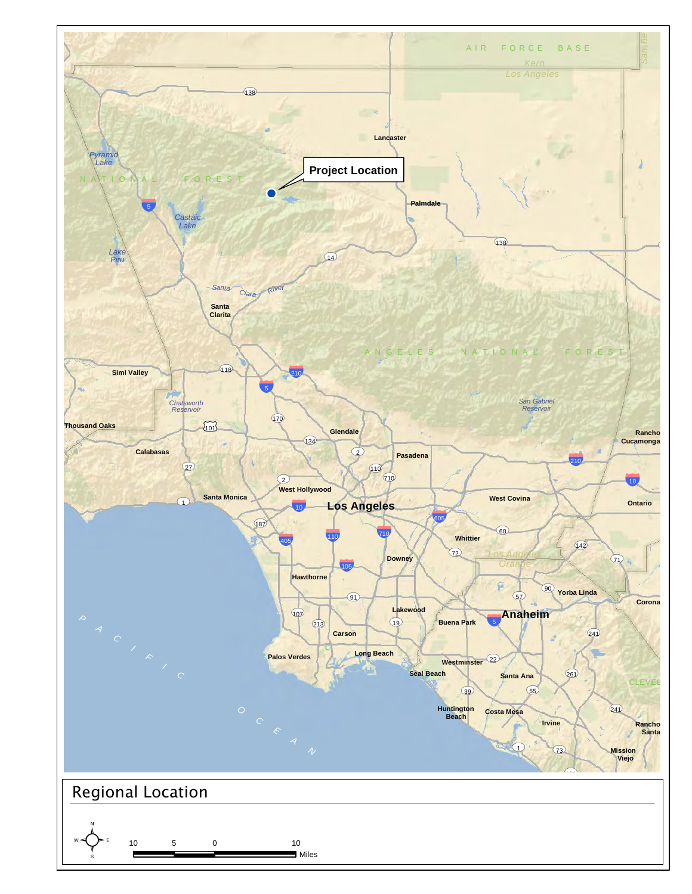